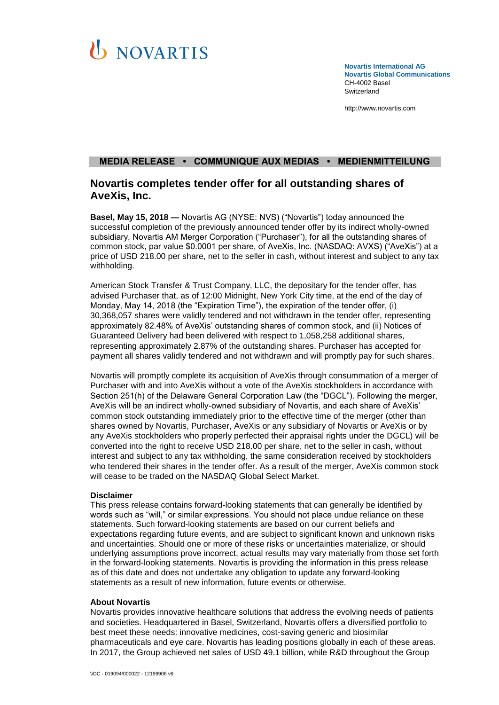

**Novartis International AG Novartis Global Communications**  CH-4002 Basel **Switzerland** 

[http://www.novartis.com](http://www.novartis.com/)

## **MEDIA RELEASE • COMMUNIQUE AUX MEDIAS • MEDIENMITTEILUNG**

# **Novartis completes tender offer for all outstanding shares of AveXis, Inc.**

**Basel, May 15, 2018 —** Novartis AG (NYSE: NVS) ("Novartis") today announced the successful completion of the previously announced tender offer by its indirect wholly-owned subsidiary, Novartis AM Merger Corporation ("Purchaser"), for all the outstanding shares of common stock, par value \$0.0001 per share, of AveXis, Inc. (NASDAQ: AVXS) ("AveXis") at a price of USD 218.00 per share, net to the seller in cash, without interest and subject to any tax withholding.

American Stock Transfer & Trust Company, LLC, the depositary for the tender offer, has advised Purchaser that, as of 12:00 Midnight, New York City time, at the end of the day of Monday, May 14, 2018 (the "Expiration Time"), the expiration of the tender offer, (i) 30,368,057 shares were validly tendered and not withdrawn in the tender offer, representing approximately 82.48% of AveXis' outstanding shares of common stock, and (ii) Notices of Guaranteed Delivery had been delivered with respect to 1,058,258 additional shares, representing approximately 2.87% of the outstanding shares. Purchaser has accepted for payment all shares validly tendered and not withdrawn and will promptly pay for such shares.

Novartis will promptly complete its acquisition of AveXis through consummation of a merger of Purchaser with and into AveXis without a vote of the AveXis stockholders in accordance with Section 251(h) of the Delaware General Corporation Law (the "DGCL"). Following the merger, AveXis will be an indirect wholly-owned subsidiary of Novartis, and each share of AveXis' common stock outstanding immediately prior to the effective time of the merger (other than shares owned by Novartis, Purchaser, AveXis or any subsidiary of Novartis or AveXis or by any AveXis stockholders who properly perfected their appraisal rights under the DGCL) will be converted into the right to receive USD 218.00 per share, net to the seller in cash, without interest and subject to any tax withholding, the same consideration received by stockholders who tendered their shares in the tender offer. As a result of the merger, AveXis common stock will cease to be traded on the NASDAQ Global Select Market.

### **Disclaimer**

This press release contains forward-looking statements that can generally be identified by words such as "will," or similar expressions. You should not place undue reliance on these statements. Such forward-looking statements are based on our current beliefs and expectations regarding future events, and are subject to significant known and unknown risks and uncertainties. Should one or more of these risks or uncertainties materialize, or should underlying assumptions prove incorrect, actual results may vary materially from those set forth in the forward-looking statements. Novartis is providing the information in this press release as of this date and does not undertake any obligation to update any forward-looking statements as a result of new information, future events or otherwise.

### **About Novartis**

Novartis provides innovative healthcare solutions that address the evolving needs of patients and societies. Headquartered in Basel, Switzerland, Novartis offers a diversified portfolio to best meet these needs: innovative medicines, cost-saving generic and biosimilar pharmaceuticals and eye care. Novartis has leading positions globally in each of these areas. In 2017, the Group achieved net sales of USD 49.1 billion, while R&D throughout the Group